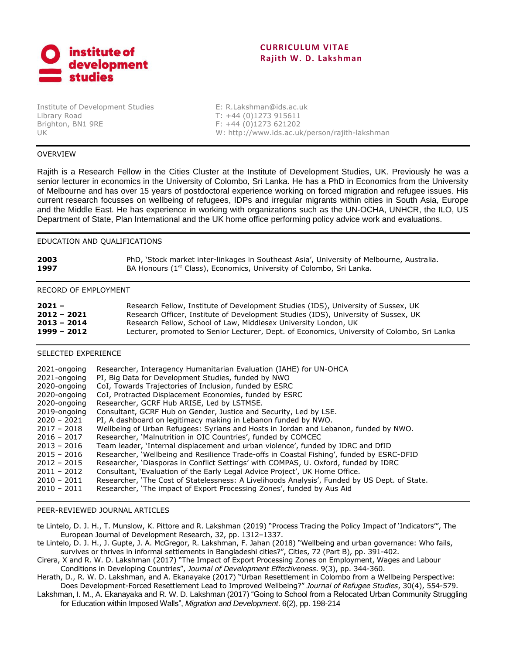

# **CURRICULUM VITAE Rajith W. D. Lakshman**

Institute of Development Studies E: [R.Lakshman@ids.ac.uk](mailto:R.Lakshman@ids.ac.uk) Library Road T: +44 (0)1273 915611 Brighton, BN1 9RE F: +44 (0)1273 621202

UK W: http://www.ids.ac.uk/person/rajith-lakshman

# OVERVIEW

Rajith is a Research Fellow in the Cities Cluster at the Institute of Development Studies, UK. Previously he was a senior lecturer in economics in the University of Colombo, Sri Lanka. He has a PhD in Economics from the University of Melbourne and has over 15 years of postdoctoral experience working on forced migration and refugee issues. His current research focusses on wellbeing of refugees, IDPs and irregular migrants within cities in South Asia, Europe and the Middle East. He has experience in working with organizations such as the UN-OCHA, UNHCR, the ILO, US Department of State, Plan International and the UK home office performing policy advice work and evaluations.

## EDUCATION AND QUALIFICATIONS

| 2003 | PhD, 'Stock market inter-linkages in Southeast Asia', University of Melbourne, Australia. |
|------|-------------------------------------------------------------------------------------------|
| 1997 | BA Honours (1 <sup>st</sup> Class), Economics, University of Colombo, Sri Lanka.          |

#### RECORD OF EMPLOYMENT

| $2021 -$      | Research Fellow, Institute of Development Studies (IDS), University of Sussex, UK           |
|---------------|---------------------------------------------------------------------------------------------|
| $2012 - 2021$ | Research Officer, Institute of Development Studies (IDS), University of Sussex, UK          |
| $2013 - 2014$ | Research Fellow, School of Law, Middlesex University London, UK                             |
| 1999 - 2012   | Lecturer, promoted to Senior Lecturer, Dept. of Economics, University of Colombo, Sri Lanka |

## SELECTED EXPERIENCE

| 2021-ongoing<br>2021-ongoing | Researcher, Interagency Humanitarian Evaluation (IAHE) for UN-OHCA<br>PI, Big Data for Development Studies, funded by NWO |
|------------------------------|---------------------------------------------------------------------------------------------------------------------------|
| 2020-ongoing                 | CoI, Towards Trajectories of Inclusion, funded by ESRC                                                                    |
| 2020-ongoing                 | CoI, Protracted Displacement Economies, funded by ESRC                                                                    |
| 2020-ongoing                 | Researcher, GCRF Hub ARISE, Led by LSTMSE.                                                                                |
| 2019-ongoing                 | Consultant, GCRF Hub on Gender, Justice and Security, Led by LSE.                                                         |
| $2020 - 2021$                | PI, A dashboard on legitimacy making in Lebanon funded by NWO.                                                            |
| $2017 - 2018$                | Wellbeing of Urban Refugees: Syrians and Hosts in Jordan and Lebanon, funded by NWO.                                      |
| $2016 - 2017$                | Researcher, 'Malnutrition in OIC Countries', funded by COMCEC                                                             |
| $2013 - 2016$                | Team leader, 'Internal displacement and urban violence', funded by IDRC and DfID                                          |
| $2015 - 2016$                | Researcher, 'Wellbeing and Resilience Trade-offs in Coastal Fishing', funded by ESRC-DFID                                 |
| $2012 - 2015$                | Researcher, 'Diasporas in Conflict Settings' with COMPAS, U. Oxford, funded by IDRC                                       |
| $2011 - 2012$                | Consultant, 'Evaluation of the Early Legal Advice Project', UK Home Office.                                               |
| $2010 - 2011$                | Researcher, 'The Cost of Statelessness: A Livelihoods Analysis', Funded by US Dept. of State.                             |
| $2010 - 2011$                | Researcher, 'The impact of Export Processing Zones', funded by Aus Aid                                                    |

#### PEER-REVIEWED JOURNAL ARTICLES

te Lintelo, D. J. H., T. Munslow, K. Pittore and R. Lakshman (2019) "Process Tracing the Policy Impact of 'Indicators'", The European Journal of Development Research, 32, pp. 1312–1337.

te Lintelo, D. J. H., J. Gupte, J. A. McGregor, R. Lakshman, F. Jahan (2018) "Wellbeing and urban governance: Who fails, survives or thrives in informal settlements in Bangladeshi cities?", Cities, 72 (Part B), pp. 391-402.

Cirera, X and R. W. D. Lakshman (2017) "The Impact of Export Processing Zones on Employment, Wages and Labour Conditions in Developing Countries", *Journal of Development Effectiveness*. 9(3), pp. 344-360.

Herath, D., R. W. D. Lakshman, and A. Ekanayake (2017) "Urban Resettlement in Colombo from a Wellbeing Perspective: Does Development-Forced Resettlement Lead to Improved Wellbeing?" *Journal of Refugee Studies*, 30(4), 554-579.

Lakshman, I. M., A. Ekanayaka and R. W. D. Lakshman (2017) "Going to School from a Relocated Urban Community Struggling for Education within Imposed Walls", *Migration and Development*. 6(2), pp. 198-214